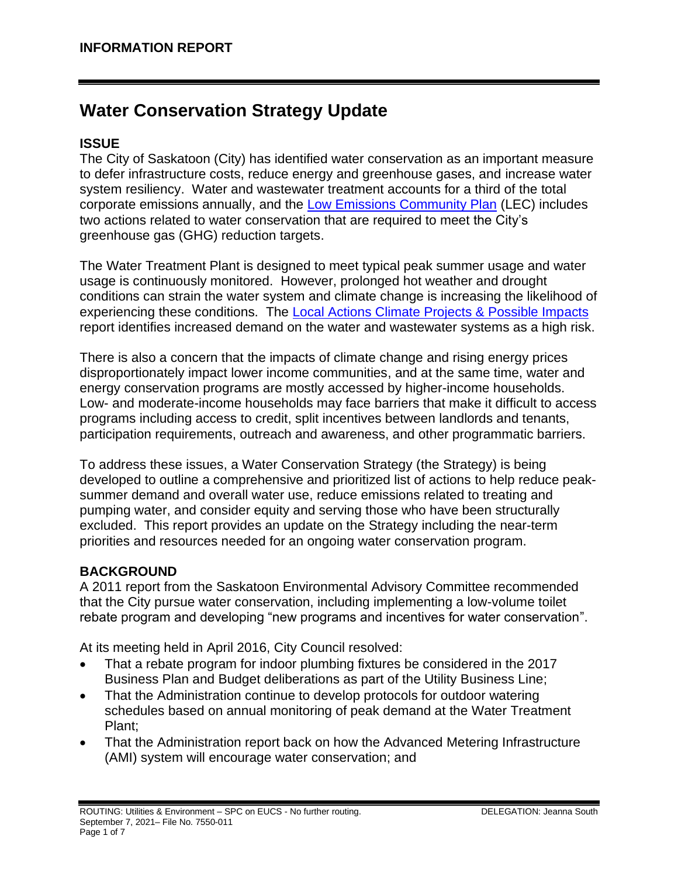# **Water Conservation Strategy Update**

# **ISSUE**

The City of Saskatoon (City) has identified water conservation as an important measure to defer infrastructure costs, reduce energy and greenhouse gases, and increase water system resiliency. Water and wastewater treatment accounts for a third of the total corporate emissions annually, and the [Low Emissions Community Plan](https://www.saskatoon.ca/sites/default/files/documents/low_emissions_report-aug8_web.pdf) (LEC) includes two actions related to water conservation that are required to meet the City's greenhouse gas (GHG) reduction targets.

The Water Treatment Plant is designed to meet typical peak summer usage and water usage is continuously monitored. However, prolonged hot weather and drought conditions can strain the water system and climate change is increasing the likelihood of experiencing these conditions. The [Local Actions Climate Projects & Possible Impacts](https://www.saskatoon.ca/sites/default/files/images/local_actions_report-disclaimer.pdf) report identifies increased demand on the water and wastewater systems as a high risk.

There is also a concern that the impacts of climate change and rising energy prices disproportionately impact lower income communities, and at the same time, water and energy conservation programs are mostly accessed by higher-income households. Low- and moderate-income households may face barriers that make it difficult to access programs including access to credit, split incentives between landlords and tenants, participation requirements, outreach and awareness, and other programmatic barriers.

To address these issues, a Water Conservation Strategy (the Strategy) is being developed to outline a comprehensive and prioritized list of actions to help reduce peaksummer demand and overall water use, reduce emissions related to treating and pumping water, and consider equity and serving those who have been structurally excluded. This report provides an update on the Strategy including the near-term priorities and resources needed for an ongoing water conservation program.

# **BACKGROUND**

A 2011 report from the Saskatoon Environmental Advisory Committee recommended that the City pursue water conservation, including implementing a low-volume toilet rebate program and developing "new programs and incentives for water conservation".

At its meeting held in April 2016, City Council resolved:

- That a rebate program for indoor plumbing fixtures be considered in the 2017 Business Plan and Budget deliberations as part of the Utility Business Line;
- That the Administration continue to develop protocols for outdoor watering schedules based on annual monitoring of peak demand at the Water Treatment Plant;
- That the Administration report back on how the Advanced Metering Infrastructure (AMI) system will encourage water conservation; and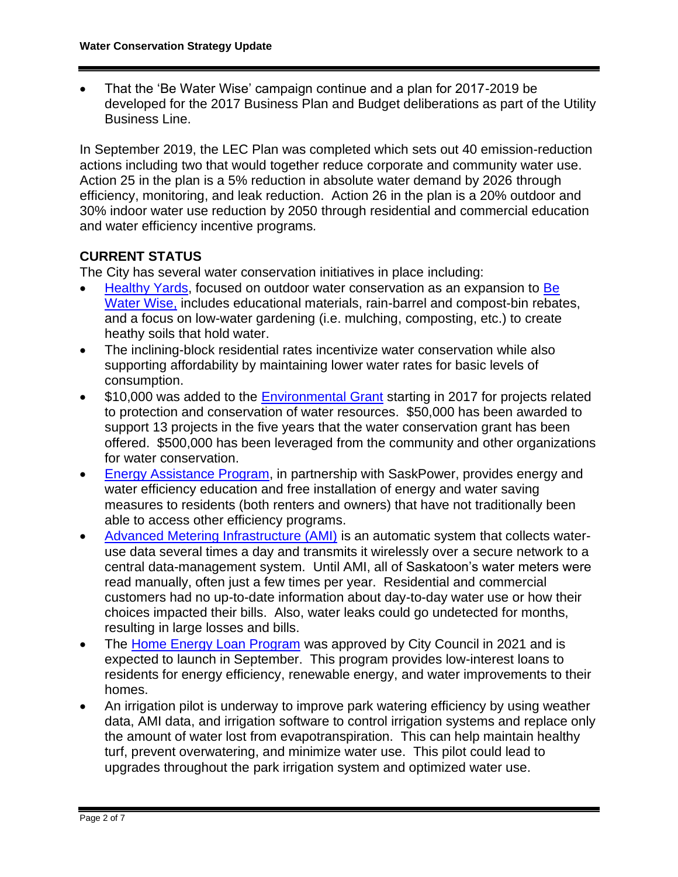• That the 'Be Water Wise' campaign continue and a plan for 2017-2019 be developed for the 2017 Business Plan and Budget deliberations as part of the Utility Business Line.

In September 2019, the LEC Plan was completed which sets out 40 emission-reduction actions including two that would together reduce corporate and community water use. Action 25 in the plan is a 5% reduction in absolute water demand by 2026 through efficiency, monitoring, and leak reduction. Action 26 in the plan is a 20% outdoor and 30% indoor water use reduction by 2050 through residential and commercial education and water efficiency incentive programs*.*

# **CURRENT STATUS**

The City has several water conservation initiatives in place including:

- [Healthy Yards,](https://www.saskatoon.ca/services-residents/housing-property/yard-garden/healthy-yards) focused on outdoor water conservation as an expansion to [Be](https://www.saskatoon.ca/services-residents/power-water/conservation/be-water-wise)  [Water Wise,](https://www.saskatoon.ca/services-residents/power-water/conservation/be-water-wise) includes educational materials, rain-barrel and compost-bin rebates, and a focus on low-water gardening (i.e. mulching, composting, etc.) to create heathy soils that hold water.
- The inclining-block residential rates incentivize water conservation while also supporting affordability by maintaining lower water rates for basic levels of consumption.
- \$10,000 was added to the [Environmental Grant](https://www.webstg.saskatoon.ca/community-culture-heritage/our-environment/environmental-grant) starting in 2017 for projects related to protection and conservation of water resources. \$50,000 has been awarded to support 13 projects in the five years that the water conservation grant has been offered. \$500,000 has been leveraged from the community and other organizations for water conservation.
- [Energy Assistance Program,](https://www.saskpower.com/Efficiency-Programs-and-Tips/Saving-Power-at-Home/Saving-Tips-and-Programs/Energy-Assistance-Program) in partnership with SaskPower, provides energy and water efficiency education and free installation of energy and water saving measures to residents (both renters and owners) that have not traditionally been able to access other efficiency programs.
- [Advanced Metering Infrastructure \(AMI\)](https://www.saskatoon.ca/services-residents/power-water-sewer/drinking-water/water-meters/water-meter-ami-project) is an automatic system that collects wateruse data several times a day and transmits it wirelessly over a secure network to a central data-management system. Until AMI, all of Saskatoon's water meters were read manually, often just a few times per year. Residential and commercial customers had no up-to-date information about day-to-day water use or how their choices impacted their bills. Also, water leaks could go undetected for months, resulting in large losses and bills.
- The [Home Energy Loan Program](https://www.saskatoon.ca/environmental-initiatives/energy/home-energy-loan-program-help-0#why) was approved by City Council in 2021 and is expected to launch in September. This program provides low-interest loans to residents for energy efficiency, renewable energy, and water improvements to their homes.
- An irrigation pilot is underway to improve park watering efficiency by using weather data, AMI data, and irrigation software to control irrigation systems and replace only the amount of water lost from evapotranspiration. This can help maintain healthy turf, prevent overwatering, and minimize water use. This pilot could lead to upgrades throughout the park irrigation system and optimized water use.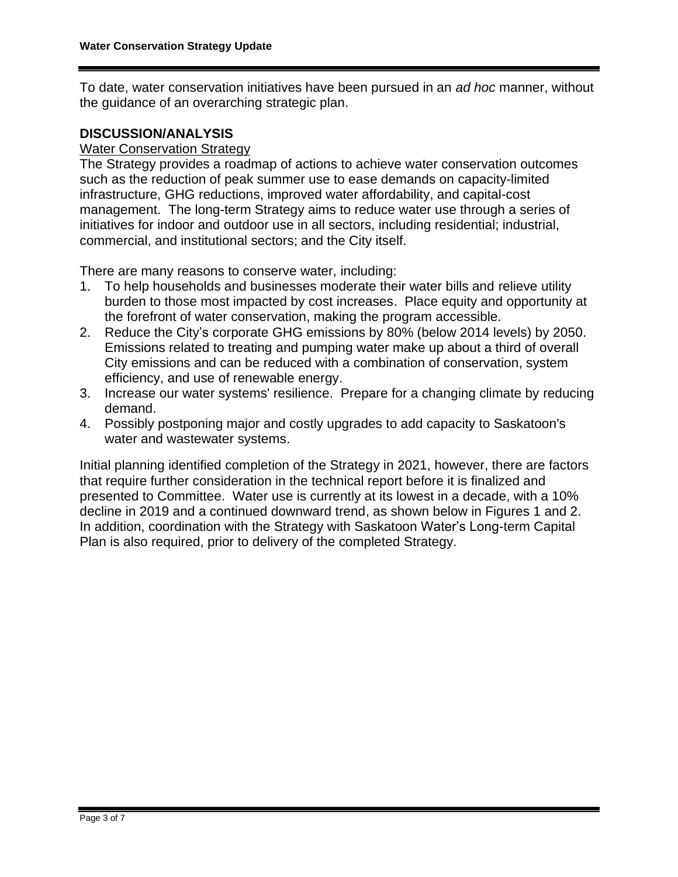To date, water conservation initiatives have been pursued in an *ad hoc* manner, without the guidance of an overarching strategic plan.

#### **DISCUSSION/ANALYSIS**

## Water Conservation Strategy

The Strategy provides a roadmap of actions to achieve water conservation outcomes such as the reduction of peak summer use to ease demands on capacity-limited infrastructure, GHG reductions, improved water affordability, and capital-cost management. The long-term Strategy aims to reduce water use through a series of initiatives for indoor and outdoor use in all sectors, including residential; industrial, commercial, and institutional sectors; and the City itself.

There are many reasons to conserve water, including:

- 1. To help households and businesses moderate their water bills and relieve utility burden to those most impacted by cost increases. Place equity and opportunity at the forefront of water conservation, making the program accessible.
- 2. Reduce the City's corporate GHG emissions by 80% (below 2014 levels) by 2050. Emissions related to treating and pumping water make up about a third of overall City emissions and can be reduced with a combination of conservation, system efficiency, and use of renewable energy.
- 3. Increase our water systems' resilience. Prepare for a changing climate by reducing demand.
- 4. Possibly postponing major and costly upgrades to add capacity to Saskatoon's water and wastewater systems.

Initial planning identified completion of the Strategy in 2021, however, there are factors that require further consideration in the technical report before it is finalized and presented to Committee. Water use is currently at its lowest in a decade, with a 10% decline in 2019 and a continued downward trend, as shown below in Figures 1 and 2. In addition, coordination with the Strategy with Saskatoon Water's Long-term Capital Plan is also required, prior to delivery of the completed Strategy.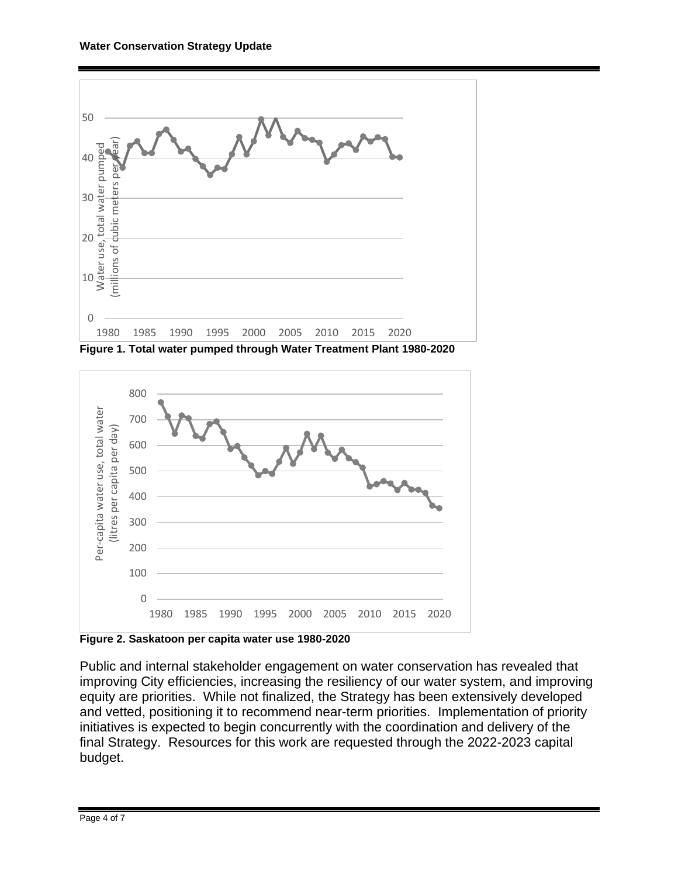





**Figure 2. Saskatoon per capita water use 1980-2020**

Public and internal stakeholder engagement on water conservation has revealed that improving City efficiencies, increasing the resiliency of our water system, and improving equity are priorities. While not finalized, the Strategy has been extensively developed and vetted, positioning it to recommend near-term priorities. Implementation of priority initiatives is expected to begin concurrently with the coordination and delivery of the final Strategy. Resources for this work are requested through the 2022-2023 capital budget.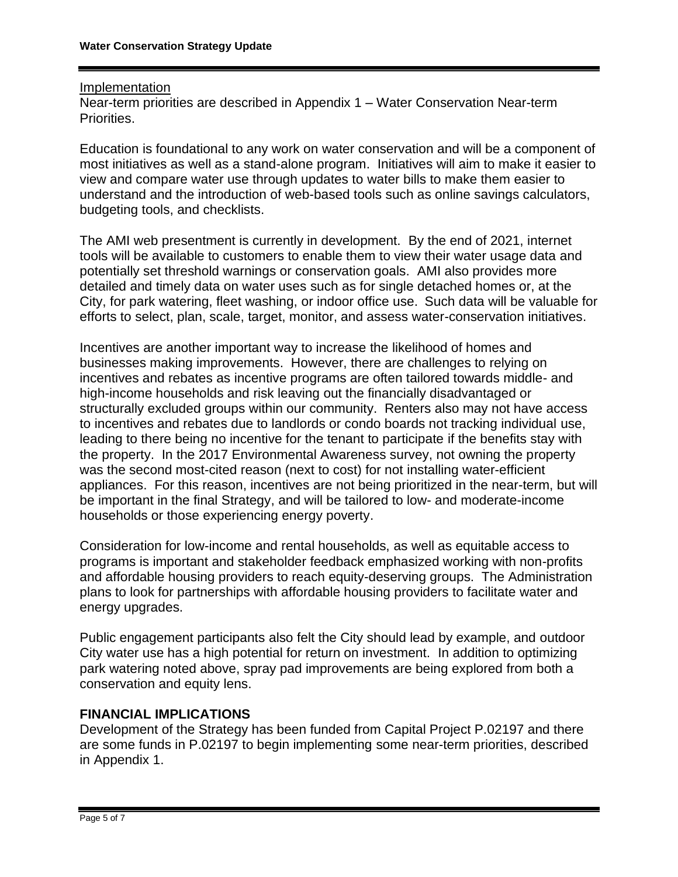#### Implementation

Near-term priorities are described in Appendix 1 – Water Conservation Near-term Priorities.

Education is foundational to any work on water conservation and will be a component of most initiatives as well as a stand-alone program. Initiatives will aim to make it easier to view and compare water use through updates to water bills to make them easier to understand and the introduction of web-based tools such as online savings calculators, budgeting tools, and checklists.

The AMI web presentment is currently in development. By the end of 2021, internet tools will be available to customers to enable them to view their water usage data and potentially set threshold warnings or conservation goals. AMI also provides more detailed and timely data on water uses such as for single detached homes or, at the City, for park watering, fleet washing, or indoor office use. Such data will be valuable for efforts to select, plan, scale, target, monitor, and assess water-conservation initiatives.

Incentives are another important way to increase the likelihood of homes and businesses making improvements. However, there are challenges to relying on incentives and rebates as incentive programs are often tailored towards middle- and high-income households and risk leaving out the financially disadvantaged or structurally excluded groups within our community. Renters also may not have access to incentives and rebates due to landlords or condo boards not tracking individual use, leading to there being no incentive for the tenant to participate if the benefits stay with the property. In the 2017 Environmental Awareness survey, not owning the property was the second most-cited reason (next to cost) for not installing water-efficient appliances. For this reason, incentives are not being prioritized in the near-term, but will be important in the final Strategy, and will be tailored to low- and moderate-income households or those experiencing energy poverty.

Consideration for low-income and rental households, as well as equitable access to programs is important and stakeholder feedback emphasized working with non-profits and affordable housing providers to reach equity-deserving groups. The Administration plans to look for partnerships with affordable housing providers to facilitate water and energy upgrades.

Public engagement participants also felt the City should lead by example, and outdoor City water use has a high potential for return on investment. In addition to optimizing park watering noted above, spray pad improvements are being explored from both a conservation and equity lens.

## **FINANCIAL IMPLICATIONS**

Development of the Strategy has been funded from Capital Project P.02197 and there are some funds in P.02197 to begin implementing some near-term priorities, described in Appendix 1.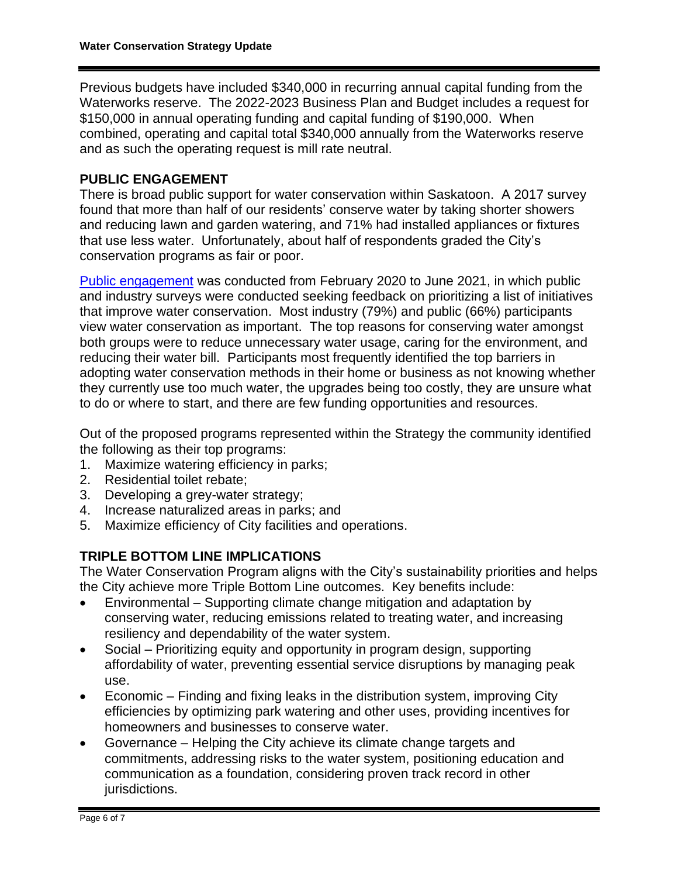Previous budgets have included \$340,000 in recurring annual capital funding from the Waterworks reserve. The 2022-2023 Business Plan and Budget includes a request for \$150,000 in annual operating funding and capital funding of \$190,000. When combined, operating and capital total \$340,000 annually from the Waterworks reserve and as such the operating request is mill rate neutral.

## **PUBLIC ENGAGEMENT**

There is broad public support for water conservation within Saskatoon. A 2017 survey found that more than half of our residents' conserve water by taking shorter showers and reducing lawn and garden watering, and 71% had installed appliances or fixtures that use less water. Unfortunately, about half of respondents graded the City's conservation programs as fair or poor.

[Public engagement](https://www.saskatoon.ca/engage/water-conservation-strategy) was conducted from February 2020 to June 2021, in which public and industry surveys were conducted seeking feedback on prioritizing a list of initiatives that improve water conservation. Most industry (79%) and public (66%) participants view water conservation as important. The top reasons for conserving water amongst both groups were to reduce unnecessary water usage, caring for the environment, and reducing their water bill. Participants most frequently identified the top barriers in adopting water conservation methods in their home or business as not knowing whether they currently use too much water, the upgrades being too costly, they are unsure what to do or where to start, and there are few funding opportunities and resources.

Out of the proposed programs represented within the Strategy the community identified the following as their top programs:

- 1. Maximize watering efficiency in parks;
- 2. Residential toilet rebate;
- 3. Developing a grey-water strategy;
- 4. Increase naturalized areas in parks; and
- 5. Maximize efficiency of City facilities and operations.

# **TRIPLE BOTTOM LINE IMPLICATIONS**

The Water Conservation Program aligns with the City's sustainability priorities and helps the City achieve more Triple Bottom Line outcomes. Key benefits include:

- Environmental Supporting climate change mitigation and adaptation by conserving water, reducing emissions related to treating water, and increasing resiliency and dependability of the water system.
- Social Prioritizing equity and opportunity in program design, supporting affordability of water, preventing essential service disruptions by managing peak use.
- Economic Finding and fixing leaks in the distribution system, improving City efficiencies by optimizing park watering and other uses, providing incentives for homeowners and businesses to conserve water.
- Governance Helping the City achieve its climate change targets and commitments, addressing risks to the water system, positioning education and communication as a foundation, considering proven track record in other jurisdictions.